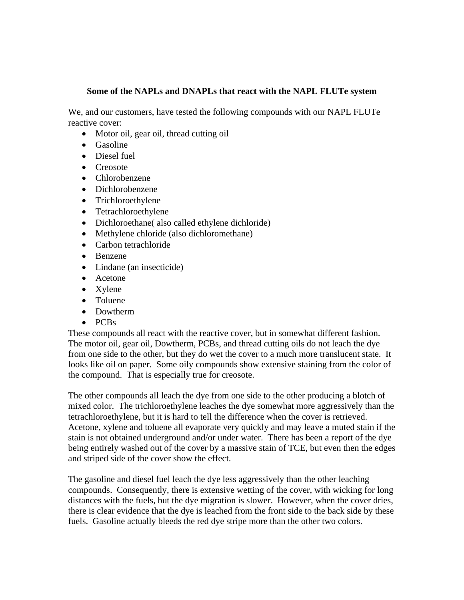## **Some of the NAPLs and DNAPLs that react with the NAPL FLUTe system**

We, and our customers, have tested the following compounds with our NAPL FLUTe reactive cover:

- Motor oil, gear oil, thread cutting oil
- Gasoline
- Diesel fuel
- Creosote
- Chlorobenzene
- Dichlorobenzene
- Trichloroethylene
- Tetrachloroethylene
- Dichloroethane( also called ethylene dichloride)
- Methylene chloride (also dichloromethane)
- Carbon tetrachloride
- Benzene
- Lindane (an insecticide)
- Acetone
- Xylene
- Toluene
- Dowtherm
- PCBs

These compounds all react with the reactive cover, but in somewhat different fashion. The motor oil, gear oil, Dowtherm, PCBs, and thread cutting oils do not leach the dye from one side to the other, but they do wet the cover to a much more translucent state. It looks like oil on paper. Some oily compounds show extensive staining from the color of the compound. That is especially true for creosote.

The other compounds all leach the dye from one side to the other producing a blotch of mixed color. The trichloroethylene leaches the dye somewhat more aggressively than the tetrachloroethylene, but it is hard to tell the difference when the cover is retrieved. Acetone, xylene and toluene all evaporate very quickly and may leave a muted stain if the stain is not obtained underground and/or under water. There has been a report of the dye being entirely washed out of the cover by a massive stain of TCE, but even then the edges and striped side of the cover show the effect.

The gasoline and diesel fuel leach the dye less aggressively than the other leaching compounds. Consequently, there is extensive wetting of the cover, with wicking for long distances with the fuels, but the dye migration is slower. However, when the cover dries, there is clear evidence that the dye is leached from the front side to the back side by these fuels. Gasoline actually bleeds the red dye stripe more than the other two colors.